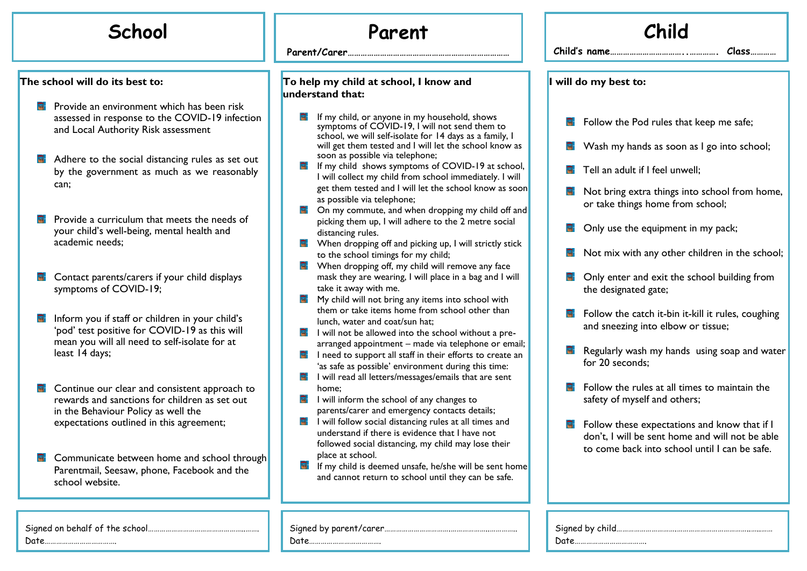## **School Parent**

**The school will do its best to:**

- **P** Provide an environment which has been risk assessed in response to the COVID-19 infection and Local Authority Risk assessment
- Adhere to the social distancing rules as set out  $\blacksquare$ by the government as much as we reasonably can;
- Provide a curriculum that meets the needs of your child's well-being, mental health and academic needs;
- 日 Contact parents/carers if your child displays symptoms of COVID-19;
- Inform you if staff or children in your child's 'pod' test positive for COVID-19 as this will mean you will all need to self-isolate for at least 14 days;
- **E** Continue our clear and consistent approach to rewards and sanctions for children as set out in the Behaviour Policy as well the expectations outlined in this agreement;
- **E** Communicate between home and school through Parentmail, Seesaw, phone, Facebook and the school website.

**…**

**Parent/Carer…………………………………………………………………**

## **To help my child at school, I know and understand that:**

- $\mathbf{F}$  If my child, or anyone in my household, shows symptoms of COVID-19, I will not send them to school, we will self-isolate for 14 days as a family, I will get them tested and I will let the school know as soon as possible via telephone;
- $\overline{H}$  If my child shows symptoms of COVID-19 at school, I will collect my child from school immediately. I will get them tested and I will let the school know as soon as possible via telephone;
- **E** On my commute, and when dropping my child off and picking them up, I will adhere to the 2 metre social distancing rules.
- $\blacksquare$  When dropping off and picking up, I will strictly stick to the school timings for my child;
- $\blacksquare$  When dropping off, my child will remove any face mask they are wearing, I will place in a bag and I will take it away with me.
- $\blacksquare$  My child will not bring any items into school with them or take items home from school other than lunch, water and coat/sun hat;
- $\overline{F}$  I will not be allowed into the school without a prearranged appointment – made via telephone or email;
- $\blacksquare$  I need to support all staff in their efforts to create an 'as safe as possible' environment during this time:
- $\overline{F}$  I will read all letters/messages/emails that are sent home;
- $\blacksquare$  I will inform the school of any changes to parents/carer and emergency contacts details;
- $\blacksquare$  I will follow social distancing rules at all times and understand if there is evidence that I have not followed social distancing, my child may lose their place at school.
- $\blacksquare$  If my child is deemed unsafe, he/she will be sent home and cannot return to school until they can be safe.

Signed by parent/carer…………………………….………………..…………..

Date……………………………….

| Child                  |                                                                                                                                                  |  |  |
|------------------------|--------------------------------------------------------------------------------------------------------------------------------------------------|--|--|
| Child's name.<br>Class |                                                                                                                                                  |  |  |
| I will do my best to:  |                                                                                                                                                  |  |  |
|                        | Follow the Pod rules that keep me safe;                                                                                                          |  |  |
|                        | Wash my hands as soon as I go into school;                                                                                                       |  |  |
| $\blacksquare$         | Tell an adult if I feel unwell;                                                                                                                  |  |  |
| 耳                      | Not bring extra things into school from home,<br>or take things home from school;                                                                |  |  |
|                        | Only use the equipment in my pack;                                                                                                               |  |  |
|                        | Not mix with any other children in the school;                                                                                                   |  |  |
|                        | <b>E</b> Only enter and exit the school building from<br>the designated gate;                                                                    |  |  |
| 답.                     | Follow the catch it-bin it-kill it rules, coughing<br>and sneezing into elbow or tissue;                                                         |  |  |
| E.                     | Regularly wash my hands using soap and water<br>for 20 seconds:                                                                                  |  |  |
| 国一                     | Follow the rules at all times to maintain the<br>safety of myself and others;                                                                    |  |  |
| E.                     | Follow these expectations and know that if I<br>don't, I will be sent home and will not be able<br>to come back into school until I can be safe. |  |  |